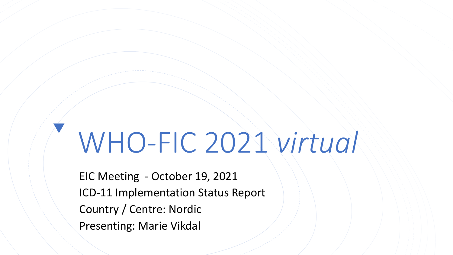## WHO-FIC 2021 *virtual*

EIC Meeting - October 19, 2021 ICD-11 Implementation Status Report Country / Centre: Nordic Presenting: Marie Vikdal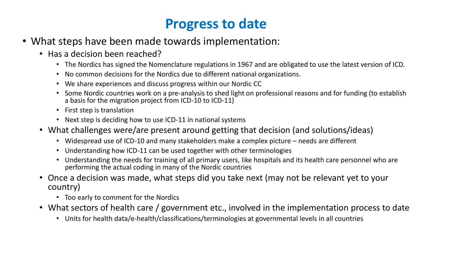## **Progress to date**

- What steps have been made towards implementation:
	- Has a decision been reached?
		- The Nordics has signed the Nomenclature regulations in 1967 and are obligated to use the latest version of ICD.
		- No common decisions for the Nordics due to different national organizations.
		- We share experiences and discuss progress within our Nordic CC
		- Some Nordic countries work on a pre-analysis to shed light on professional reasons and for funding (to establish a basis for the migration project from ICD-10 to ICD-11)
		- First step is translation
		- Next step is deciding how to use ICD-11 in national systems
	- What challenges were/are present around getting that decision (and solutions/ideas)
		- Widespread use of ICD-10 and many stakeholders make a complex picture needs are different
		- Understanding how ICD-11 can be used together with other terminologies
		- Understanding the needs for training of all primary users, like hospitals and its health care personnel who are performing the actual coding in many of the Nordic countries
	- Once a decision was made, what steps did you take next (may not be relevant yet to your country)
		- Too early to comment for the Nordics
	- What sectors of health care / government etc., involved in the implementation process to date
		- Units for health data/e-health/classifications/terminologies at governmental levels in all countries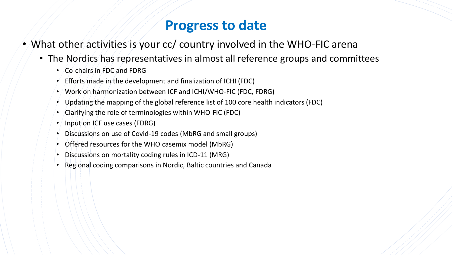## **Progress to date**

- What other activities is your cc/ country involved in the WHO-FIC arena
	- The Nordics has representatives in almost all reference groups and committees
		- Co-chairs in FDC and FDRG
		- Efforts made in the development and finalization of ICHI (FDC)
		- Work on harmonization between ICF and ICHI/WHO-FIC (FDC, FDRG)
		- Updating the mapping of the global reference list of 100 core health indicators (FDC)
		- Clarifying the role of terminologies within WHO-FIC (FDC)
		- Input on ICF use cases (FDRG)
		- Discussions on use of Covid-19 codes (MbRG and small groups)
		- Offered resources for the WHO casemix model (MbRG)
		- Discussions on mortality coding rules in ICD-11 (MRG)
		- Regional coding comparisons in Nordic, Baltic countries and Canada